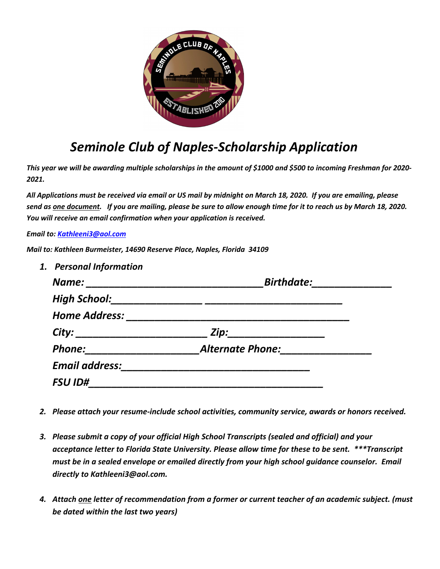

# *Seminole Club of Naples-Scholarship Application*

*This year we will be awarding multiple scholarships in the amount of \$1000 and \$500 to incoming Freshman for 2020- 2021.*

*All Applications must be received via email or US mail by midnight on March 18, 2020. If you are emailing, please send as one document. If you are mailing, please be sure to allow enough time for it to reach us by March 18, 2020. You will receive an email confirmation when your application is received.* 

*Email to: Kathleeni3@aol.com*

*Mail to: Kathleen Burmeister, 14690 Reserve Place, Naples, Florida 34109*

| 1. Personal Information |                         |
|-------------------------|-------------------------|
| Name:                   | <b>Birthdate:</b>       |
| <b>High School:</b>     |                         |
| <b>Home Address:</b>    |                         |
| City:                   | Zip:                    |
| <b>Phone:</b>           | <b>Alternate Phone:</b> |
| <b>Email address:</b>   |                         |
| <b>FSU ID#</b>          |                         |

- *2. Please attach your resume-include school activities, community service, awards or honors received.*
- *3. Please submit a copy of your official High School Transcripts (sealed and official) and your acceptance letter to Florida State University. Please allow time for these to be sent. \*\*\*Transcript must be in a sealed envelope or emailed directly from your high school guidance counselor. Email directly to Kathleeni3@aol.com.*
- *4. Attach one letter of recommendation from a former or current teacher of an academic subject. (must be dated within the last two years)*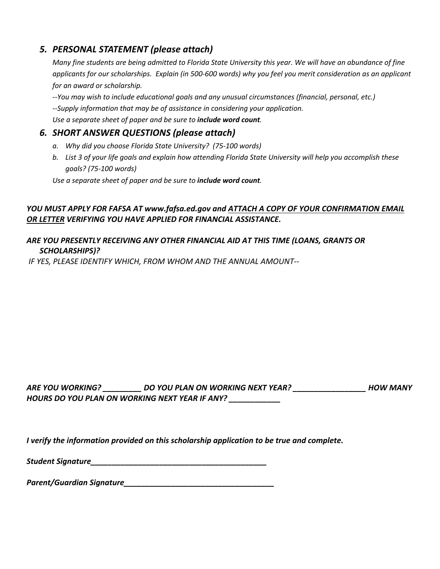## *5. PERSONAL STATEMENT (please attach)*

*Many fine students are being admitted to Florida State University this year. We will have an abundance of fine applicants for our scholarships. Explain (in 500-600 words) why you feel you merit consideration as an applicant for an award or scholarship.* 

*--You may wish to include educational goals and any unusual circumstances (financial, personal, etc.)*

*--Supply information that may be of assistance in considering your application.*

*Use a separate sheet of paper and be sure to include word count.*

## *6. SHORT ANSWER QUESTIONS (please attach)*

- *a. Why did you choose Florida State University? (75-100 words)*
- *b. List 3 of your life goals and explain how attending Florida State University will help you accomplish these goals? (75-100 words)*

*Use a separate sheet of paper and be sure to include word count.* 

#### *YOU MUST APPLY FOR FAFSA AT www.fafsa.ed.gov and ATTACH A COPY OF YOUR CONFIRMATION EMAIL OR LETTER VERIFYING YOU HAVE APPLIED FOR FINANCIAL ASSISTANCE.*

#### *ARE YOU PRESENTLY RECEIVING ANY OTHER FINANCIAL AID AT THIS TIME (LOANS, GRANTS OR SCHOLARSHIPS)?*

*IF YES, PLEASE IDENTIFY WHICH, FROM WHOM AND THE ANNUAL AMOUNT--*

| ARE YOU WORKING?                               | DO YOU PLAN ON WORKING NEXT YEAR? | <b>HOW MANY</b> |
|------------------------------------------------|-----------------------------------|-----------------|
| HOURS DO YOU PLAN ON WORKING NEXT YEAR IF ANY? |                                   |                 |

*I verify the information provided on this scholarship application to be true and complete.*

| <b>Student Signature</b> |  |
|--------------------------|--|
|                          |  |

*Parent/Guardian Signature\_\_\_\_\_\_\_\_\_\_\_\_\_\_\_\_\_\_\_\_\_\_\_\_\_\_\_\_\_\_\_\_\_\_\_*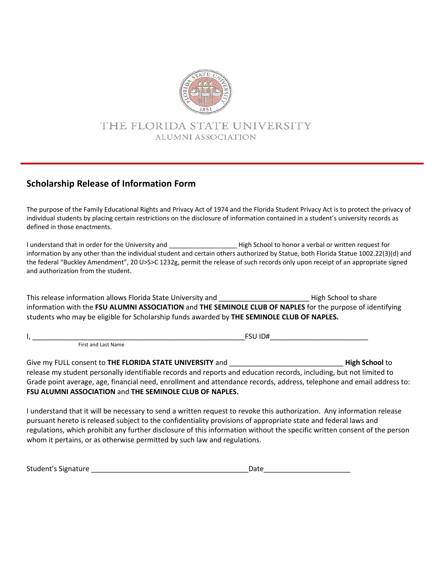

# THE FLORIDA STATE UNIVERSITY ALUMNI ASSOCIATION

# **Scholarship Release of Information Form**

The purpose of the Family Educational Rights and Privacy Act of 1974 and the Florida Student Privacy Act is to protect the privacy of individual students by placing certain restrictions on the disclosure of information contained in a student's university records as defined in those enactments.

I understand that in order for the University and **Example 2018** High School to honor a verbal or written request for information by any other than the individual student and certain others authorized by Statue, both Florida Statue 1002.22(3)(d) and the federal "Buckley Amendment", 20 U>S>C 1232g, permit the release of such records only upon receipt of an appropriate signed and authorization from the student.

This release information allows Florida State University and \_\_\_\_\_\_\_\_\_\_\_\_\_\_\_\_\_\_\_\_\_\_\_ High School to share information with the **FSU ALUMNI ASSOCIATION** and **THE SEMINOLE CLUB OF NAPLES** for the purpose of identifying students who may be eligible for Scholarship funds awarded by **THE SEMINOLE CLUB OF NAPLES.**

I, \_\_\_\_\_\_\_\_\_\_\_\_\_\_\_\_\_\_\_\_\_\_\_\_\_\_\_\_\_\_\_\_\_\_\_\_\_\_\_\_\_\_\_\_\_\_\_\_\_\_\_\_\_\_FSU ID#\_\_\_\_\_\_\_\_\_\_\_\_\_\_\_\_\_\_\_\_\_\_\_\_\_

First and Last Name

Give my FULL consent to **THE FLORIDA STATE UNIVERSITY** and \_\_\_\_\_\_\_\_\_\_\_\_\_\_\_\_\_\_\_\_\_\_\_\_\_\_\_\_\_ **High School** to release my student personally identifiable records and reports and education records, including, but not limited to Grade point average, age, financial need, enrollment and attendance records, address, telephone and email address to: **FSU ALUMNI ASSOCIATION** and **THE SEMINOLE CLUB OF NAPLES.**

I understand that it will be necessary to send a written request to revoke this authorization. Any information release pursuant hereto is released subject to the confidentiality provisions of appropriate state and federal laws and regulations, which prohibit any further disclosure of this information without the specific written consent of the person whom it pertains, or as otherwise permitted by such law and regulations.

| Student's Signature | ')ate |
|---------------------|-------|
|---------------------|-------|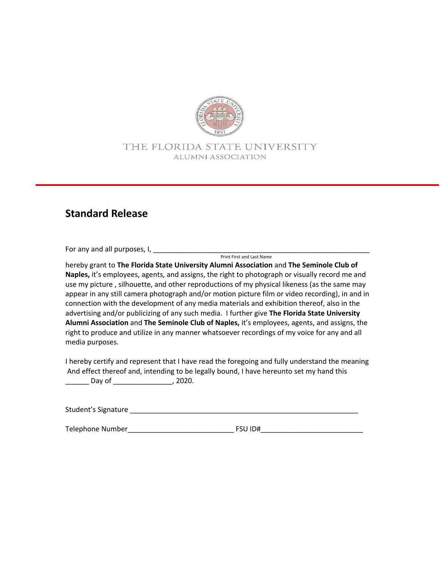

### THE FLORIDA STATE UNIVERSITY ALUMNI ASSOCIATION

# **Standard Release**

For any and all purposes, I, \_\_\_\_\_\_\_\_\_\_\_\_\_\_\_\_\_\_\_\_\_\_\_\_\_\_\_\_\_\_\_\_\_\_\_\_\_\_\_\_\_\_\_\_\_\_\_\_\_\_\_\_\_\_\_

Print First and Last Name

hereby grant to **The Florida State University Alumni Association** and **The Seminole Club of Naples,** it's employees, agents, and assigns, the right to photograph or visually record me and use my picture , silhouette, and other reproductions of my physical likeness (as the same may appear in any still camera photograph and/or motion picture film or video recording), in and in connection with the development of any media materials and exhibition thereof, also in the advertising and/or publicizing of any such media. I further give **The Florida State University Alumni Association** and **The Seminole Club of Naples,** it's employees, agents, and assigns, the right to produce and utilize in any manner whatsoever recordings of my voice for any and all media purposes.

I hereby certify and represent that I have read the foregoing and fully understand the meaning And effect thereof and, intending to be legally bound, I have hereunto set my hand this \_\_\_\_\_\_ Day of \_\_\_\_\_\_\_\_\_\_\_\_\_\_\_, 2020.

Student's Signature \_\_\_\_\_\_\_\_\_\_\_\_\_\_\_\_\_\_\_\_\_\_\_\_\_\_\_\_\_\_\_\_\_\_\_\_\_\_\_\_\_\_\_\_\_\_\_\_\_\_\_\_\_\_\_\_\_\_

Telephone Number\_\_\_\_\_\_\_\_\_\_\_\_\_\_\_\_\_\_\_\_\_\_\_\_\_\_\_ FSU ID#\_\_\_\_\_\_\_\_\_\_\_\_\_\_\_\_\_\_\_\_\_\_\_\_\_\_